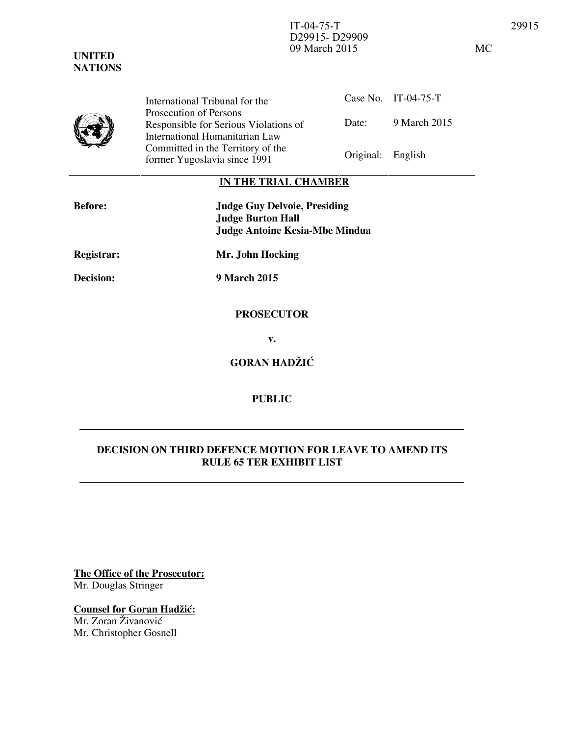

Case No. IT-04-75-T Date: 9 March 2015 International Tribunal for the Prosecution of Persons Responsible for Serious Violations of International Humanitarian Law Committed in the Territory of the Former Yugoslavia since 1991 Original: English

# **IN THE TRIAL CHAMBER**

| <b>Before:</b>   | <b>Judge Guy Delvoie, Presiding</b><br><b>Judge Burton Hall</b><br><b>Judge Antoine Kesia-Mbe Mindua</b> |
|------------------|----------------------------------------------------------------------------------------------------------|
| Registrar:       | Mr. John Hocking                                                                                         |
| <b>Decision:</b> | 9 March 2015                                                                                             |
|                  | <b>PROSECUTOR</b>                                                                                        |

**v.** 

**GORAN HADŽIĆ** 

# **PUBLIC**

# **DECISION ON THIRD DEFENCE MOTION FOR LEAVE TO AMEND ITS RULE 65 TER EXHIBIT LIST**

**The Office of the Prosecutor:** Mr. Douglas Stringer

**Counsel for Goran Hadžić:** 

Mr. Zoran Živanović Mr. Christopher Gosnell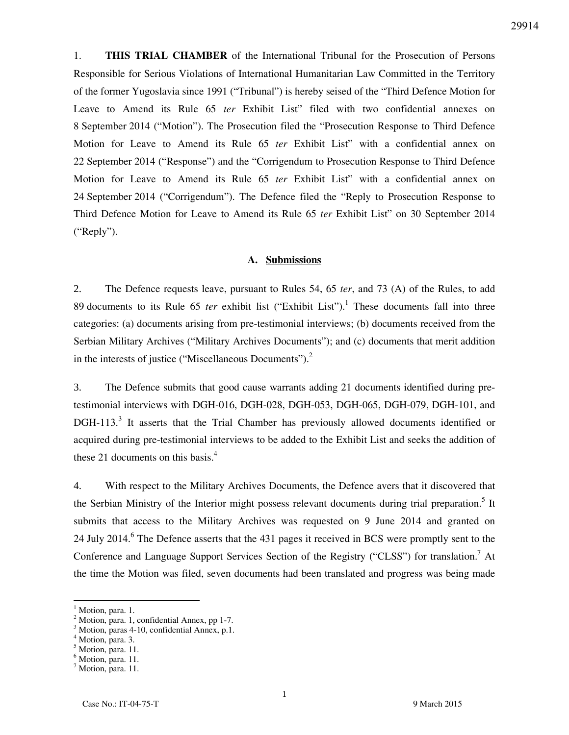1. **THIS TRIAL CHAMBER** of the International Tribunal for the Prosecution of Persons Responsible for Serious Violations of International Humanitarian Law Committed in the Territory of the former Yugoslavia since 1991 ("Tribunal") is hereby seised of the "Third Defence Motion for Leave to Amend its Rule 65 *ter* Exhibit List" filed with two confidential annexes on 8 September 2014 ("Motion"). The Prosecution filed the "Prosecution Response to Third Defence Motion for Leave to Amend its Rule 65 *ter* Exhibit List" with a confidential annex on 22 September 2014 ("Response") and the "Corrigendum to Prosecution Response to Third Defence Motion for Leave to Amend its Rule 65 *ter* Exhibit List" with a confidential annex on 24 September 2014 ("Corrigendum"). The Defence filed the "Reply to Prosecution Response to Third Defence Motion for Leave to Amend its Rule 65 *ter* Exhibit List" on 30 September 2014 ("Reply").

#### **A. Submissions**

2. The Defence requests leave, pursuant to Rules 54, 65 *ter*, and 73 (A) of the Rules, to add 89 documents to its Rule  $65$  *ter* exhibit list ("Exhibit List").<sup>1</sup> These documents fall into three categories: (a) documents arising from pre-testimonial interviews; (b) documents received from the Serbian Military Archives ("Military Archives Documents"); and (c) documents that merit addition in the interests of justice ("Miscellaneous Documents"). $<sup>2</sup>$ </sup>

3. The Defence submits that good cause warrants adding 21 documents identified during pretestimonial interviews with DGH-016, DGH-028, DGH-053, DGH-065, DGH-079, DGH-101, and DGH-113.<sup>3</sup> It asserts that the Trial Chamber has previously allowed documents identified or acquired during pre-testimonial interviews to be added to the Exhibit List and seeks the addition of these 21 documents on this basis. $4$ 

4. With respect to the Military Archives Documents, the Defence avers that it discovered that the Serbian Ministry of the Interior might possess relevant documents during trial preparation.<sup>5</sup> It submits that access to the Military Archives was requested on 9 June 2014 and granted on 24 July 2014.<sup>6</sup> The Defence asserts that the 431 pages it received in BCS were promptly sent to the Conference and Language Support Services Section of the Registry ("CLSS") for translation.<sup>7</sup> At the time the Motion was filed, seven documents had been translated and progress was being made

 $\overline{a}$ 

<sup>1</sup> Motion, para. 1.

<sup>&</sup>lt;sup>2</sup> Motion, para. 1, confidential Annex, pp 1-7.

<sup>3</sup> Motion, paras 4-10, confidential Annex, p.1.

<sup>4</sup> Motion, para. 3.

<sup>&</sup>lt;sup>5</sup> Motion, para. 11.

<sup>&</sup>lt;sup>6</sup> Motion, para. 11.

<sup>&</sup>lt;sup>7</sup> Motion, para. 11.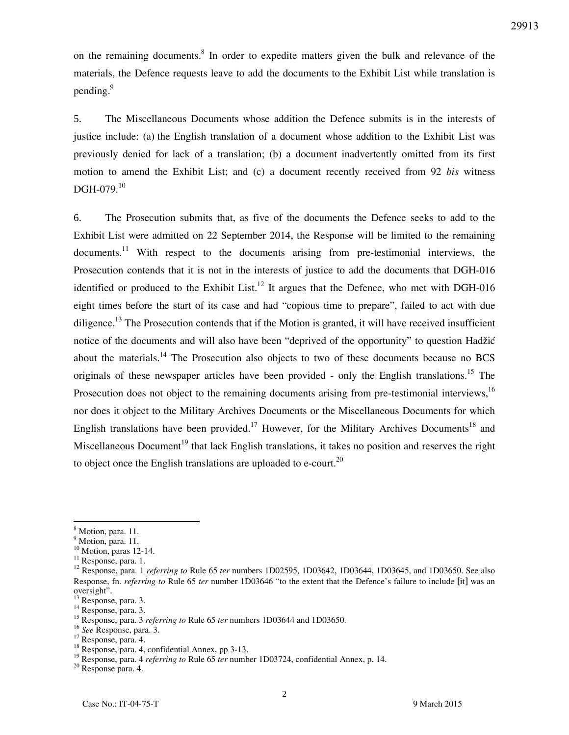on the remaining documents.<sup>8</sup> In order to expedite matters given the bulk and relevance of the materials, the Defence requests leave to add the documents to the Exhibit List while translation is pending.<sup>9</sup>

5. The Miscellaneous Documents whose addition the Defence submits is in the interests of justice include: (a) the English translation of a document whose addition to the Exhibit List was previously denied for lack of a translation; (b) a document inadvertently omitted from its first motion to amend the Exhibit List; and (c) a document recently received from 92 *bis* witness DGH-079.<sup>10</sup>

6. The Prosecution submits that, as five of the documents the Defence seeks to add to the Exhibit List were admitted on 22 September 2014, the Response will be limited to the remaining documents.<sup>11</sup> With respect to the documents arising from pre-testimonial interviews, the Prosecution contends that it is not in the interests of justice to add the documents that DGH-016 identified or produced to the Exhibit List.<sup>12</sup> It argues that the Defence, who met with DGH-016 eight times before the start of its case and had "copious time to prepare", failed to act with due diligence.<sup>13</sup> The Prosecution contends that if the Motion is granted, it will have received insufficient notice of the documents and will also have been "deprived of the opportunity" to question Hadžić about the materials.<sup>14</sup> The Prosecution also objects to two of these documents because no BCS originals of these newspaper articles have been provided - only the English translations.<sup>15</sup> The Prosecution does not object to the remaining documents arising from pre-testimonial interviews,<sup>16</sup> nor does it object to the Military Archives Documents or the Miscellaneous Documents for which English translations have been provided.<sup>17</sup> However, for the Military Archives Documents<sup>18</sup> and Miscellaneous Document<sup>19</sup> that lack English translations, it takes no position and reserves the right to object once the English translations are uploaded to e-court.<sup>20</sup>

 $\overline{a}$ 

<sup>&</sup>lt;sup>8</sup> Motion, para. 11.

<sup>&</sup>lt;sup>9</sup> Motion, para. 11.

 $10$  Motion, paras 12-14.

<sup>&</sup>lt;sup>11</sup> Response, para. 1.

<sup>&</sup>lt;sup>12</sup> Response, para. 1 *referring to* Rule 65 *ter* numbers 1D02595, 1D03642, 1D03644, 1D03645, and 1D03650. See also Response, fn. *referring to* Rule 65 *ter* number 1D03646 "to the extent that the Defence's failure to include [it] was an oversight".

<sup>&</sup>lt;sup>13</sup> Response, para. 3.

<sup>&</sup>lt;sup>14</sup> Response, para. 3.

<sup>&</sup>lt;sup>15</sup> Response, para. 3 *referring to* Rule 65 *ter* numbers 1D03644 and 1D03650.

<sup>16</sup> *See* Response, para. 3.

<sup>17</sup> Response, para. 4.

 $18$  Response, para. 4, confidential Annex, pp 3-13.

<sup>&</sup>lt;sup>19</sup> Response, para. 4 *referring to* Rule 65 *ter* number 1D03724, confidential Annex, p. 14.

<sup>20</sup> Response para. 4.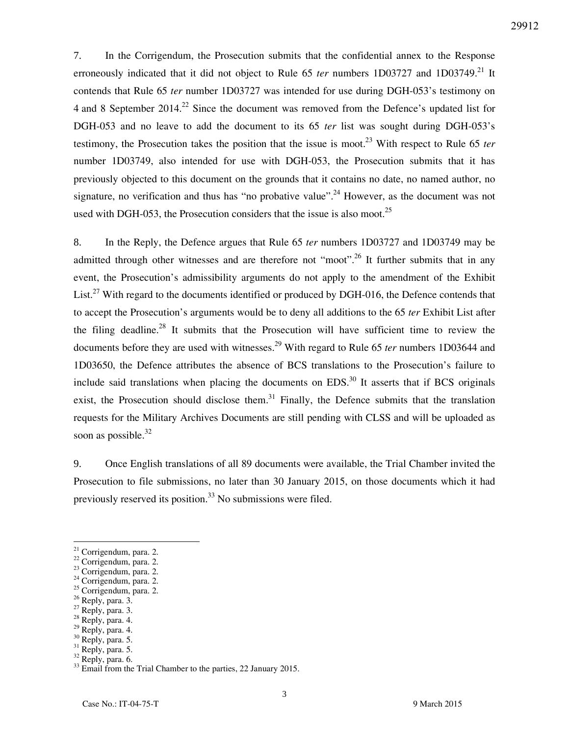7. In the Corrigendum, the Prosecution submits that the confidential annex to the Response erroneously indicated that it did not object to Rule 65 *ter* numbers 1D03727 and 1D03749.<sup>21</sup> It contends that Rule 65 *ter* number 1D03727 was intended for use during DGH-053's testimony on 4 and 8 September 2014.<sup>22</sup> Since the document was removed from the Defence's updated list for DGH-053 and no leave to add the document to its 65 *ter* list was sought during DGH-053's testimony, the Prosecution takes the position that the issue is moot.<sup>23</sup> With respect to Rule 65 *ter* number 1D03749, also intended for use with DGH-053, the Prosecution submits that it has previously objected to this document on the grounds that it contains no date, no named author, no signature, no verification and thus has "no probative value".<sup>24</sup> However, as the document was not used with DGH-053, the Prosecution considers that the issue is also moot.<sup>25</sup>

8. In the Reply, the Defence argues that Rule 65 *ter* numbers 1D03727 and 1D03749 may be admitted through other witnesses and are therefore not "moot".<sup>26</sup> It further submits that in any event, the Prosecution's admissibility arguments do not apply to the amendment of the Exhibit List.<sup>27</sup> With regard to the documents identified or produced by DGH-016, the Defence contends that to accept the Prosecution's arguments would be to deny all additions to the 65 *ter* Exhibit List after the filing deadline.<sup>28</sup> It submits that the Prosecution will have sufficient time to review the documents before they are used with witnesses.<sup>29</sup> With regard to Rule 65 *ter* numbers 1D03644 and 1D03650, the Defence attributes the absence of BCS translations to the Prosecution's failure to include said translations when placing the documents on EDS.<sup>30</sup> It asserts that if BCS originals exist, the Prosecution should disclose them.<sup>31</sup> Finally, the Defence submits that the translation requests for the Military Archives Documents are still pending with CLSS and will be uploaded as soon as possible. $32$ 

9. Once English translations of all 89 documents were available, the Trial Chamber invited the Prosecution to file submissions, no later than 30 January 2015, on those documents which it had previously reserved its position.<sup>33</sup> No submissions were filed.

- <sup>25</sup> Corrigendum, para. 2.
- $26$  Reply, para. 3.

 $\overline{a}$ 

- $27$  Reply, para. 3.
- $28$  Reply, para. 4.
- $^{29}$  Reply, para. 4.
- $30$  Reply, para. 5.
- <sup>31</sup> Reply, para. 5. <sup>32</sup> Reply, para. 6.

 $21$  Corrigendum, para. 2.

<sup>&</sup>lt;sup>22</sup> Corrigendum, para. 2.

<sup>&</sup>lt;sup>23</sup> Corrigendum, para. 2.

<sup>&</sup>lt;sup>24</sup> Corrigendum, para. 2.

<sup>&</sup>lt;sup>33</sup> Email from the Trial Chamber to the parties, 22 January 2015.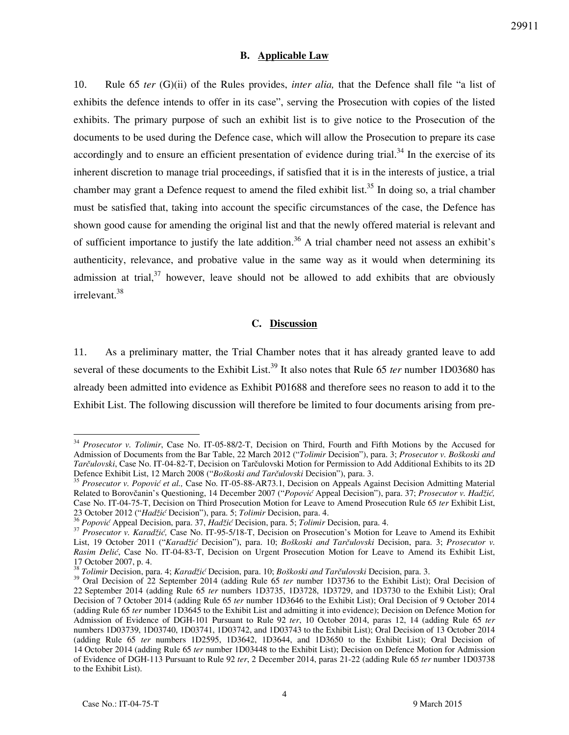## **B. Applicable Law**

10. Rule 65 *ter* (G)(ii) of the Rules provides, *inter alia,* that the Defence shall file "a list of exhibits the defence intends to offer in its case", serving the Prosecution with copies of the listed exhibits. The primary purpose of such an exhibit list is to give notice to the Prosecution of the documents to be used during the Defence case, which will allow the Prosecution to prepare its case accordingly and to ensure an efficient presentation of evidence during trial.<sup>34</sup> In the exercise of its inherent discretion to manage trial proceedings, if satisfied that it is in the interests of justice, a trial chamber may grant a Defence request to amend the filed exhibit list.<sup>35</sup> In doing so, a trial chamber must be satisfied that, taking into account the specific circumstances of the case, the Defence has shown good cause for amending the original list and that the newly offered material is relevant and of sufficient importance to justify the late addition.<sup>36</sup> A trial chamber need not assess an exhibit's authenticity, relevance, and probative value in the same way as it would when determining its admission at trial,  $37$  however, leave should not be allowed to add exhibits that are obviously irrelevant.<sup>38</sup>

## **C. Discussion**

11. As a preliminary matter, the Trial Chamber notes that it has already granted leave to add several of these documents to the Exhibit List.<sup>39</sup> It also notes that Rule 65 *ter* number 1D03680 has already been admitted into evidence as Exhibit P01688 and therefore sees no reason to add it to the Exhibit List. The following discussion will therefore be limited to four documents arising from pre-

 $\ddot{\phantom{a}}$ 

<sup>&</sup>lt;sup>34</sup> *Prosecutor v. Tolimir*, Case No. IT-05-88/2-T, Decision on Third, Fourth and Fifth Motions by the Accused for Admission of Documents from the Bar Table, 22 March 2012 ("*Tolimir* Decision"), para. 3; *Prosecutor v. Boškoski and Tarčulovski*, Case No. IT-04-82-T, Decision on Tarčulovski Motion for Permission to Add Additional Exhibits to its 2D Defence Exhibit List, 12 March 2008 ("*Boškoski and Tarčulovski* Decision"), para. 3.

<sup>35</sup> *Prosecutor v. Popović et al.,* Case No. IT-05-88-AR73.1, Decision on Appeals Against Decision Admitting Material Related to Borovčanin's Questioning, 14 December 2007 ("*Popović* Appeal Decision"), para. 37; *Prosecutor v. Hadži},*  Case No. IT-04-75-T, Decision on Third Prosecution Motion for Leave to Amend Prosecution Rule 65 *ter* Exhibit List, 23 October 2012 ("*Hadži}* Decision"), para. 5; *Tolimir* Decision, para. 4.

<sup>&</sup>lt;sup>36</sup> Popović Appeal Decision, para. 37, *Hadžić* Decision, para. 5; *Tolimir* Decision, para. 4.

<sup>&</sup>lt;sup>37</sup> *Prosecutor v. Karadžić,* Case No. IT-95-5/18-T, Decision on Prosecution's Motion for Leave to Amend its Exhibit List, 19 October 2011 ("*Karad`ić* Decision"), para. 10; *Boškoski and Tarčulovski* Decision, para. 3; *Prosecutor v. Rasim Delić*, Case No. IT-04-83-T, Decision on Urgent Prosecution Motion for Leave to Amend its Exhibit List, 17 October 2007, p. 4.

<sup>38</sup> *Tolimir* Decision, para. 4; *Karad`ić* Decision, para. 10; *Boškoski and Tarčulovski* Decision, para. 3.

<sup>&</sup>lt;sup>39</sup> Oral Decision of 22 September 2014 (adding Rule 65 *ter* number 1D3736 to the Exhibit List); Oral Decision of 22 September 2014 (adding Rule 65 *ter* numbers 1D3735, 1D3728, 1D3729, and 1D3730 to the Exhibit List); Oral Decision of 7 October 2014 (adding Rule 65 *ter* number 1D3646 to the Exhibit List); Oral Decision of 9 October 2014 (adding Rule 65 *ter* number 1D3645 to the Exhibit List and admitting it into evidence); Decision on Defence Motion for Admission of Evidence of DGH-101 Pursuant to Rule 92 *ter*, 10 October 2014, paras 12, 14 (adding Rule 65 *ter*  numbers 1D03739, 1D03740, 1D03741, 1D03742, and 1D03743 to the Exhibit List); Oral Decision of 13 October 2014 (adding Rule 65 *ter* numbers 1D2595, 1D3642, 1D3644, and 1D3650 to the Exhibit List); Oral Decision of 14 October 2014 (adding Rule 65 *ter* number 1D03448 to the Exhibit List); Decision on Defence Motion for Admission of Evidence of DGH-113 Pursuant to Rule 92 *ter*, 2 December 2014, paras 21-22 (adding Rule 65 *ter* number 1D03738 to the Exhibit List).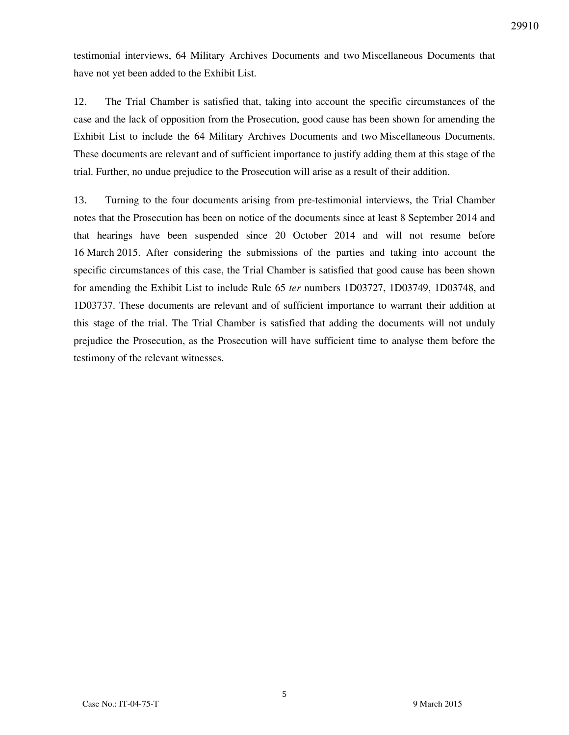testimonial interviews, 64 Military Archives Documents and two Miscellaneous Documents that have not yet been added to the Exhibit List.

12. The Trial Chamber is satisfied that, taking into account the specific circumstances of the case and the lack of opposition from the Prosecution, good cause has been shown for amending the Exhibit List to include the 64 Military Archives Documents and two Miscellaneous Documents. These documents are relevant and of sufficient importance to justify adding them at this stage of the trial. Further, no undue prejudice to the Prosecution will arise as a result of their addition.

13. Turning to the four documents arising from pre-testimonial interviews, the Trial Chamber notes that the Prosecution has been on notice of the documents since at least 8 September 2014 and that hearings have been suspended since 20 October 2014 and will not resume before 16 March 2015. After considering the submissions of the parties and taking into account the specific circumstances of this case, the Trial Chamber is satisfied that good cause has been shown for amending the Exhibit List to include Rule 65 *ter* numbers 1D03727, 1D03749, 1D03748, and 1D03737. These documents are relevant and of sufficient importance to warrant their addition at this stage of the trial. The Trial Chamber is satisfied that adding the documents will not unduly prejudice the Prosecution, as the Prosecution will have sufficient time to analyse them before the testimony of the relevant witnesses.